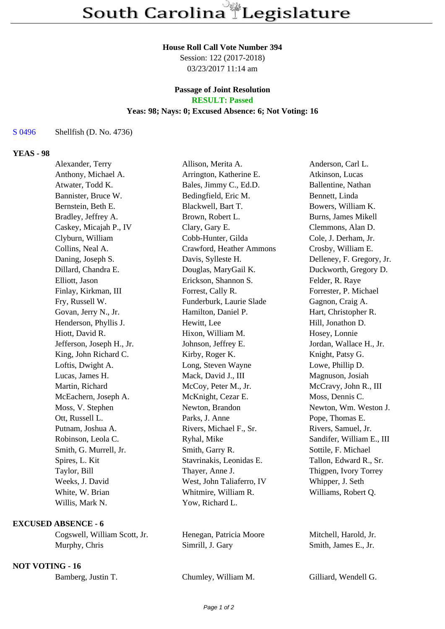#### **House Roll Call Vote Number 394**

Session: 122 (2017-2018) 03/23/2017 11:14 am

# **Passage of Joint Resolution**

## **RESULT: Passed**

#### **Yeas: 98; Nays: 0; Excused Absence: 6; Not Voting: 16**

S 0496 Shellfish (D. No. 4736)

#### **YEAS - 98**

| Allison, Merita A.        | Anderson, Carl L.         |
|---------------------------|---------------------------|
| Arrington, Katherine E.   | Atkinson, Lucas           |
| Bales, Jimmy C., Ed.D.    | Ballentine, Nathan        |
| Bedingfield, Eric M.      | Bennett, Linda            |
| Blackwell, Bart T.        | Bowers, William K.        |
| Brown, Robert L.          | Burns, James Mikell       |
| Clary, Gary E.            | Clemmons, Alan D.         |
| Cobb-Hunter, Gilda        | Cole, J. Derham, Jr.      |
| Crawford, Heather Ammons  | Crosby, William E.        |
| Davis, Sylleste H.        | Delleney, F. Gregory, Jr. |
| Douglas, MaryGail K.      | Duckworth, Gregory D.     |
| Erickson, Shannon S.      | Felder, R. Raye           |
| Forrest, Cally R.         | Forrester, P. Michael     |
| Funderburk, Laurie Slade  | Gagnon, Craig A.          |
| Hamilton, Daniel P.       | Hart, Christopher R.      |
| Hewitt, Lee               | Hill, Jonathon D.         |
| Hixon, William M.         | Hosey, Lonnie             |
| Johnson, Jeffrey E.       | Jordan, Wallace H., Jr.   |
| Kirby, Roger K.           | Knight, Patsy G.          |
| Long, Steven Wayne        | Lowe, Phillip D.          |
| Mack, David J., III       | Magnuson, Josiah          |
| McCoy, Peter M., Jr.      | McCravy, John R., III     |
| McKnight, Cezar E.        | Moss, Dennis C.           |
| Newton, Brandon           | Newton, Wm. Weston J.     |
| Parks, J. Anne            | Pope, Thomas E.           |
| Rivers, Michael F., Sr.   | Rivers, Samuel, Jr.       |
| Ryhal, Mike               | Sandifer, William E., III |
| Smith, Garry R.           | Sottile, F. Michael       |
| Stavrinakis, Leonidas E.  | Tallon, Edward R., Sr.    |
| Thayer, Anne J.           | Thigpen, Ivory Torrey     |
| West, John Taliaferro, IV | Whipper, J. Seth          |
| Whitmire, William R.      | Williams, Robert Q.       |
| Yow, Richard L.           |                           |
|                           |                           |

### **EXCUSED ABSENCE - 6**

Cogswell, William Scott, Jr. Henegan, Patricia Moore Mitchell, Harold, Jr. Murphy, Chris Simrill, J. Gary Smith, James E., Jr.

#### **NOT VOTING - 16**

| Chumley, William M.<br>Bamberg, Justin T. |  |
|-------------------------------------------|--|
|-------------------------------------------|--|

Gilliard, Wendell G.